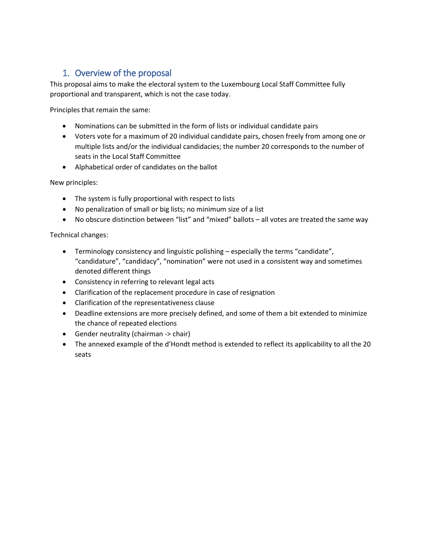# 1. Overview of the proposal

This proposal aims to make the electoral system to the Luxembourg Local Staff Committee fully proportional and transparent, which is not the case today.

Principles that remain the same:

- Nominations can be submitted in the form of lists or individual candidate pairs
- Voters vote for a maximum of 20 individual candidate pairs, chosen freely from among one or multiple lists and/or the individual candidacies; the number 20 corresponds to the number of seats in the Local Staff Committee
- Alphabetical order of candidates on the ballot

New principles:

- The system is fully proportional with respect to lists
- No penalization of small or big lists; no minimum size of a list
- No obscure distinction between "list" and "mixed" ballots all votes are treated the same way

Technical changes:

- Terminology consistency and linguistic polishing especially the terms "candidate", "candidature", "candidacy", "nomination" were not used in a consistent way and sometimes denoted different things
- Consistency in referring to relevant legal acts
- Clarification of the replacement procedure in case of resignation
- Clarification of the representativeness clause
- Deadline extensions are more precisely defined, and some of them a bit extended to minimize the chance of repeated elections
- Gender neutrality (chairman -> chair)
- The annexed example of the d'Hondt method is extended to reflect its applicability to all the 20 seats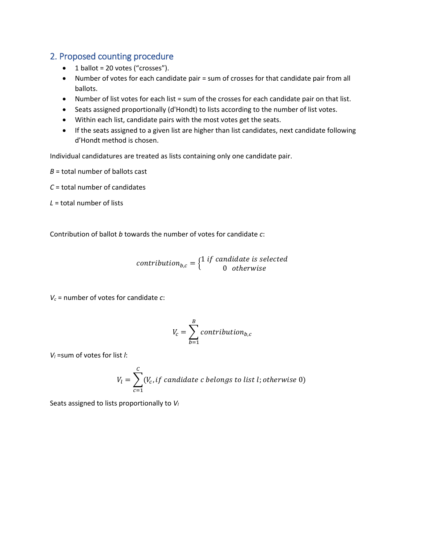## 2. Proposed counting procedure

- $\bullet$  1 ballot = 20 votes ("crosses").
- Number of votes for each candidate pair = sum of crosses for that candidate pair from all ballots.
- Number of list votes for each list = sum of the crosses for each candidate pair on that list.
- Seats assigned proportionally (d'Hondt) to lists according to the number of list votes.
- Within each list, candidate pairs with the most votes get the seats.
- If the seats assigned to a given list are higher than list candidates, next candidate following d'Hondt method is chosen.

Individual candidatures are treated as lists containing only one candidate pair.

*B* = total number of ballots cast

*C* = total number of candidates

*L* = total number of lists

Contribution of ballot *b* towards the number of votes for candidate *c*:

contribution<sub>b,c</sub> =  $\{ \begin{matrix} 1 & if & candidate & is & sel \\ & 0 & otherwise \end{matrix} \}$ 0 otherw

*Vc* = number of votes for candidate *c*:

$$
V_c = \sum_{b=1}^{B} contribution_{b,c}
$$

*Vl* =sum of votes for list *l*:

$$
V_l = \sum_{c=1}^{C} (V_c, if candidate c belongs to list l; otherwise 0)
$$

Seats assigned to lists proportionally to *Vl*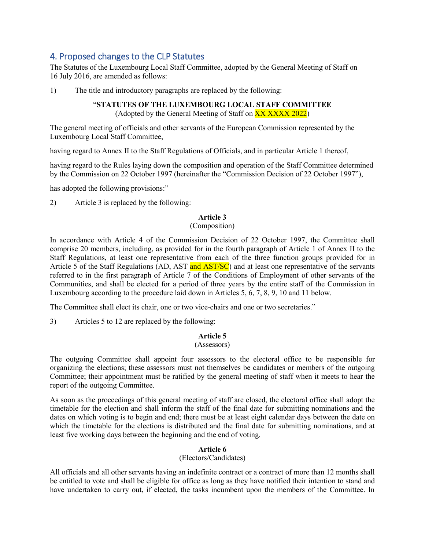## 4. Proposed changes to the CLP Statutes

The Statutes of the Luxembourg Local Staff Committee, adopted by the General Meeting of Staff on 16 July 2016, are amended as follows:

1) The title and introductory paragraphs are replaced by the following:

## "**STATUTES OF THE LUXEMBOURG LOCAL STAFF COMMITTEE**

(Adopted by the General Meeting of Staff on XX XXXX 2022)

The general meeting of officials and other servants of the European Commission represented by the Luxembourg Local Staff Committee,

having regard to Annex II to the Staff Regulations of Officials, and in particular Article 1 thereof,

having regard to the Rules laying down the composition and operation of the Staff Committee determined by the Commission on 22 October 1997 (hereinafter the "Commission Decision of 22 October 1997"),

has adopted the following provisions:"

2) Article 3 is replaced by the following:

## **Article 3**

## (Composition)

In accordance with Article 4 of the Commission Decision of 22 October 1997, the Committee shall comprise 20 members, including, as provided for in the fourth paragraph of Article 1 of Annex II to the Staff Regulations, at least one representative from each of the three function groups provided for in Article 5 of the Staff Regulations (AD, AST and AST/SC) and at least one representative of the servants referred to in the first paragraph of Article 7 of the Conditions of Employment of other servants of the Communities, and shall be elected for a period of three years by the entire staff of the Commission in Luxembourg according to the procedure laid down in Articles 5, 6, 7, 8, 9, 10 and 11 below.

The Committee shall elect its chair, one or two vice-chairs and one or two secretaries."

3) Articles 5 to 12 are replaced by the following:

## **Article 5**

#### (Assessors)

The outgoing Committee shall appoint four assessors to the electoral office to be responsible for organizing the elections; these assessors must not themselves be candidates or members of the outgoing Committee; their appointment must be ratified by the general meeting of staff when it meets to hear the report of the outgoing Committee.

As soon as the proceedings of this general meeting of staff are closed, the electoral office shall adopt the timetable for the election and shall inform the staff of the final date for submitting nominations and the dates on which voting is to begin and end; there must be at least eight calendar days between the date on which the timetable for the elections is distributed and the final date for submitting nominations, and at least five working days between the beginning and the end of voting.

### **Article 6**

## (Electors/Candidates)

All officials and all other servants having an indefinite contract or a contract of more than 12 months shall be entitled to vote and shall be eligible for office as long as they have notified their intention to stand and have undertaken to carry out, if elected, the tasks incumbent upon the members of the Committee. In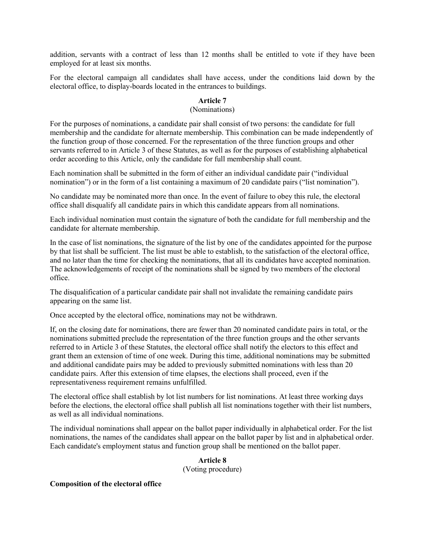addition, servants with a contract of less than 12 months shall be entitled to vote if they have been employed for at least six months.

For the electoral campaign all candidates shall have access, under the conditions laid down by the electoral office, to display-boards located in the entrances to buildings.

## **Article 7**

#### (Nominations)

For the purposes of nominations, a candidate pair shall consist of two persons: the candidate for full membership and the candidate for alternate membership. This combination can be made independently of the function group of those concerned. For the representation of the three function groups and other servants referred to in Article 3 of these Statutes, as well as for the purposes of establishing alphabetical order according to this Article, only the candidate for full membership shall count.

Each nomination shall be submitted in the form of either an individual candidate pair ("individual nomination") or in the form of a list containing a maximum of 20 candidate pairs ("list nomination").

No candidate may be nominated more than once. In the event of failure to obey this rule, the electoral office shall disqualify all candidate pairs in which this candidate appears from all nominations.

Each individual nomination must contain the signature of both the candidate for full membership and the candidate for alternate membership.

In the case of list nominations, the signature of the list by one of the candidates appointed for the purpose by that list shall be sufficient. The list must be able to establish, to the satisfaction of the electoral office, and no later than the time for checking the nominations, that all its candidates have accepted nomination. The acknowledgements of receipt of the nominations shall be signed by two members of the electoral office.

The disqualification of a particular candidate pair shall not invalidate the remaining candidate pairs appearing on the same list.

Once accepted by the electoral office, nominations may not be withdrawn.

If, on the closing date for nominations, there are fewer than 20 nominated candidate pairs in total, or the nominations submitted preclude the representation of the three function groups and the other servants referred to in Article 3 of these Statutes, the electoral office shall notify the electors to this effect and grant them an extension of time of one week. During this time, additional nominations may be submitted and additional candidate pairs may be added to previously submitted nominations with less than 20 candidate pairs. After this extension of time elapses, the elections shall proceed, even if the representativeness requirement remains unfulfilled.

The electoral office shall establish by lot list numbers for list nominations. At least three working days before the elections, the electoral office shall publish all list nominations together with their list numbers, as well as all individual nominations.

The individual nominations shall appear on the ballot paper individually in alphabetical order. For the list nominations, the names of the candidates shall appear on the ballot paper by list and in alphabetical order. Each candidate's employment status and function group shall be mentioned on the ballot paper.

**Article 8**

(Voting procedure)

#### **Composition of the electoral office**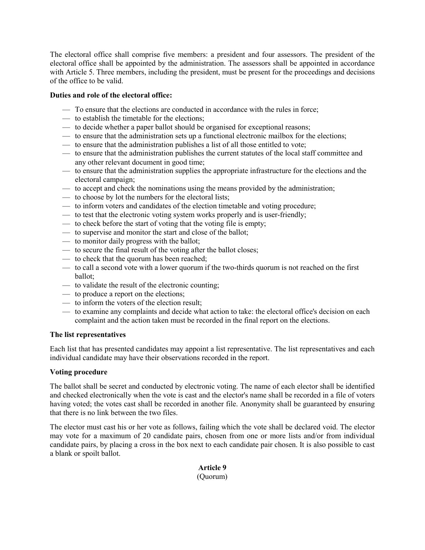The electoral office shall comprise five members: a president and four assessors. The president of the electoral office shall be appointed by the administration. The assessors shall be appointed in accordance with Article 5. Three members, including the president, must be present for the proceedings and decisions of the office to be valid.

## **Duties and role of the electoral office:**

- To ensure that the elections are conducted in accordance with the rules in force;
- to establish the timetable for the elections;
- to decide whether a paper ballot should be organised for exceptional reasons;
- to ensure that the administration sets up a functional electronic mailbox for the elections;
- to ensure that the administration publishes a list of all those entitled to vote;
- to ensure that the administration publishes the current statutes of the local staff committee and any other relevant document in good time;
- to ensure that the administration supplies the appropriate infrastructure for the elections and the electoral campaign;
- to accept and check the nominations using the means provided by the administration;
- to choose by lot the numbers for the electoral lists;
- to inform voters and candidates of the election timetable and voting procedure;
- to test that the electronic voting system works properly and is user-friendly;
- to check before the start of voting that the voting file is empty;
- to supervise and monitor the start and close of the ballot;
- to monitor daily progress with the ballot;
- to secure the final result of the voting after the ballot closes;
- to check that the quorum has been reached;
- to call a second vote with a lower quorum if the two-thirds quorum is not reached on the first ballot;
- to validate the result of the electronic counting;
- to produce a report on the elections;
- to inform the voters of the election result;
- to examine any complaints and decide what action to take: the electoral office's decision on each complaint and the action taken must be recorded in the final report on the elections.

### **The list representatives**

Each list that has presented candidates may appoint a list representative. The list representatives and each individual candidate may have their observations recorded in the report.

### **Voting procedure**

The ballot shall be secret and conducted by electronic voting. The name of each elector shall be identified and checked electronically when the vote is cast and the elector's name shall be recorded in a file of voters having voted; the votes cast shall be recorded in another file. Anonymity shall be guaranteed by ensuring that there is no link between the two files.

The elector must cast his or her vote as follows, failing which the vote shall be declared void. The elector may vote for a maximum of 20 candidate pairs, chosen from one or more lists and/or from individual candidate pairs, by placing a cross in the box next to each candidate pair chosen. It is also possible to cast a blank or spoilt ballot.

> **Article 9** (Quorum)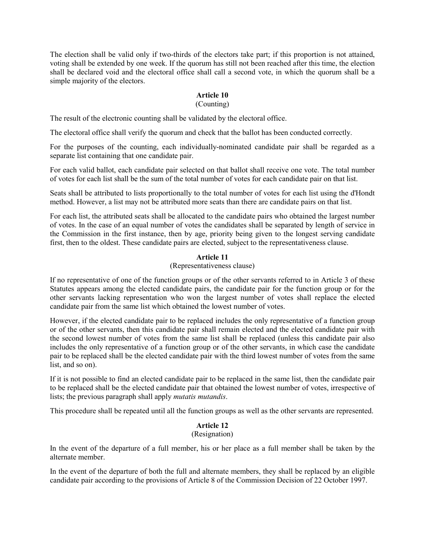The election shall be valid only if two-thirds of the electors take part; if this proportion is not attained, voting shall be extended by one week. If the quorum has still not been reached after this time, the election shall be declared void and the electoral office shall call a second vote, in which the quorum shall be a simple majority of the electors.

## **Article 10**

#### (Counting)

The result of the electronic counting shall be validated by the electoral office.

The electoral office shall verify the quorum and check that the ballot has been conducted correctly.

For the purposes of the counting, each individually-nominated candidate pair shall be regarded as a separate list containing that one candidate pair.

For each valid ballot, each candidate pair selected on that ballot shall receive one vote. The total number of votes for each list shall be the sum of the total number of votes for each candidate pair on that list.

Seats shall be attributed to lists proportionally to the total number of votes for each list using the d'Hondt method. However, a list may not be attributed more seats than there are candidate pairs on that list.

For each list, the attributed seats shall be allocated to the candidate pairs who obtained the largest number of votes. In the case of an equal number of votes the candidates shall be separated by length of service in the Commission in the first instance, then by age, priority being given to the longest serving candidate first, then to the oldest. These candidate pairs are elected, subject to the representativeness clause.

## **Article 11**

#### (Representativeness clause)

If no representative of one of the function groups or of the other servants referred to in Article 3 of these Statutes appears among the elected candidate pairs, the candidate pair for the function group or for the other servants lacking representation who won the largest number of votes shall replace the elected candidate pair from the same list which obtained the lowest number of votes.

However, if the elected candidate pair to be replaced includes the only representative of a function group or of the other servants, then this candidate pair shall remain elected and the elected candidate pair with the second lowest number of votes from the same list shall be replaced (unless this candidate pair also includes the only representative of a function group or of the other servants, in which case the candidate pair to be replaced shall be the elected candidate pair with the third lowest number of votes from the same list, and so on).

If it is not possible to find an elected candidate pair to be replaced in the same list, then the candidate pair to be replaced shall be the elected candidate pair that obtained the lowest number of votes, irrespective of lists; the previous paragraph shall apply *mutatis mutandis*.

This procedure shall be repeated until all the function groups as well as the other servants are represented.

## **Article 12**

#### (Resignation)

In the event of the departure of a full member, his or her place as a full member shall be taken by the alternate member.

In the event of the departure of both the full and alternate members, they shall be replaced by an eligible candidate pair according to the provisions of Article 8 of the Commission Decision of 22 October 1997.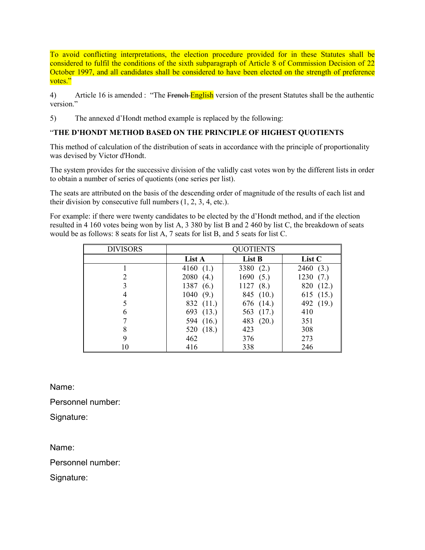To avoid conflicting interpretations, the election procedure provided for in these Statutes shall be considered to fulfil the conditions of the sixth subparagraph of Article 8 of Commission Decision of 22 October 1997, and all candidates shall be considered to have been elected on the strength of preference votes."

4) Article 16 is amended : "The French English version of the present Statutes shall be the authentic version."

5) The annexed d'Hondt method example is replaced by the following:

## "**THE D'HONDT METHOD BASED ON THE PRINCIPLE OF HIGHEST QUOTIENTS**

This method of calculation of the distribution of seats in accordance with the principle of proportionality was devised by Victor d'Hondt.

The system provides for the successive division of the validly cast votes won by the different lists in order to obtain a number of series of quotients (one series per list).

The seats are attributed on the basis of the descending order of magnitude of the results of each list and their division by consecutive full numbers (1, 2, 3, 4, etc.).

For example: if there were twenty candidates to be elected by the d'Hondt method, and if the election resulted in 4 160 votes being won by list A, 3 380 by list B and 2 460 by list C, the breakdown of seats would be as follows: 8 seats for list A, 7 seats for list B, and 5 seats for list C.

| <b>DIVISORS</b> | QUOTIENTS   |             |           |
|-----------------|-------------|-------------|-----------|
|                 | List A      | List B      | List C    |
|                 | 4160 $(1.)$ | 3380 $(2.)$ | 2460(3.)  |
|                 | 2080(4.)    | 1690(5.)    | 1230(7.)  |
|                 | 1387(6.)    | 1127(8.)    | 820 (12.) |
|                 | 1040(9.)    | 845 (10.)   | 615 (15.) |
|                 | 832 (11.)   | 676 (14.)   | 492 (19.) |
| 6               | 693 (13.)   | 563 (17.)   | 410       |
|                 | 594 (16.)   | 483 (20.)   | 351       |
| 8               | 520 (18.)   | 423         | 308       |
| 9               | 462         | 376         | 273       |
| 10              | 416         | 338         | 246       |

Name:

Personnel number:

Signature:

Name:

Personnel number:

Signature: